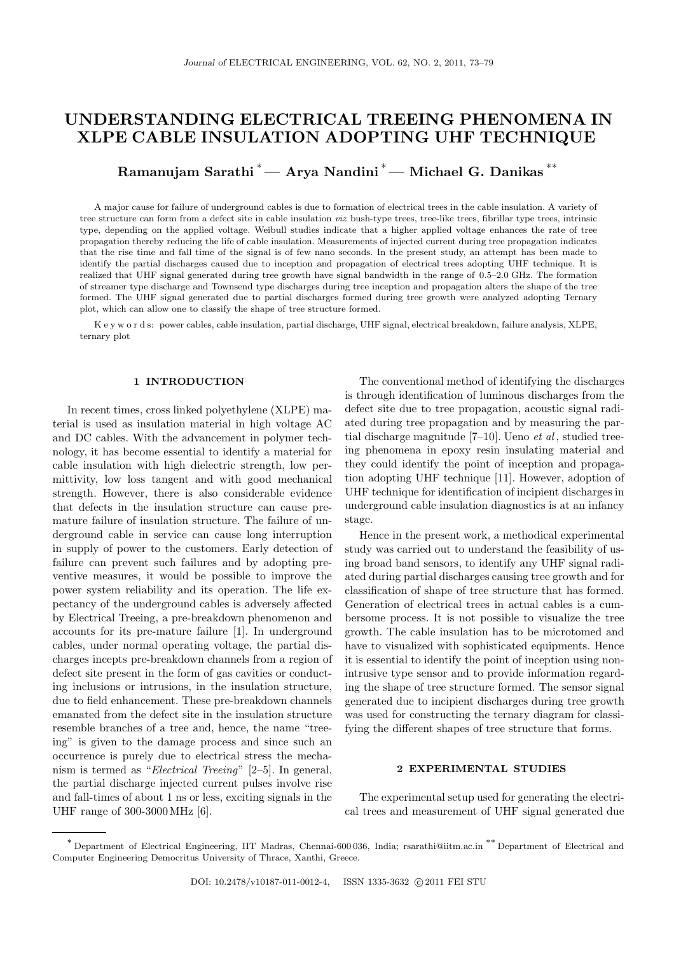# UNDERSTANDING ELECTRICAL TREEING PHENOMENA IN XLPE CABLE INSULATION ADOPTING UHF TECHNIQUE

Ramanujam Sarathi<sup>\*</sup> — Arya Nandini<sup>\*</sup> — Michael G. Danikas<sup>\*\*</sup>

A major cause for failure of underground cables is due to formation of electrical trees in the cable insulation. A variety of tree structure can form from a defect site in cable insulation viz bush-type trees, tree-like trees, fibrillar type trees, intrinsic type, depending on the applied voltage. Weibull studies indicate that a higher applied voltage enhances the rate of tree propagation thereby reducing the life of cable insulation. Measurements of injected current during tree propagation indicates that the rise time and fall time of the signal is of few nano seconds. In the present study, an attempt has been made to identify the partial discharges caused due to inception and propagation of electrical trees adopting UHF technique. It is realized that UHF signal generated during tree growth have signal bandwidth in the range of 0.5–2.0 GHz. The formation of streamer type discharge and Townsend type discharges during tree inception and propagation alters the shape of the tree formed. The UHF signal generated due to partial discharges formed during tree growth were analyzed adopting Ternary plot, which can allow one to classify the shape of tree structure formed.

K e y w o r d s: power cables, cable insulation, partial discharge, UHF signal, electrical breakdown, failure analysis, XLPE, ternary plot

### 1 INTRODUCTION

In recent times, cross linked polyethylene (XLPE) material is used as insulation material in high voltage AC and DC cables. With the advancement in polymer technology, it has become essential to identify a material for cable insulation with high dielectric strength, low permittivity, low loss tangent and with good mechanical strength. However, there is also considerable evidence that defects in the insulation structure can cause premature failure of insulation structure. The failure of underground cable in service can cause long interruption in supply of power to the customers. Early detection of failure can prevent such failures and by adopting preventive measures, it would be possible to improve the power system reliability and its operation. The life expectancy of the underground cables is adversely affected by Electrical Treeing, a pre-breakdown phenomenon and accounts for its pre-mature failure [1]. In underground cables, under normal operating voltage, the partial discharges incepts pre-breakdown channels from a region of defect site present in the form of gas cavities or conducting inclusions or intrusions, in the insulation structure, due to field enhancement. These pre-breakdown channels emanated from the defect site in the insulation structure resemble branches of a tree and, hence, the name "treeing" is given to the damage process and since such an occurrence is purely due to electrical stress the mechanism is termed as "Electrical Treeing" [2–5]. In general, the partial discharge injected current pulses involve rise and fall-times of about 1 ns or less, exciting signals in the UHF range of 300-3000MHz [6].

The conventional method of identifying the discharges is through identification of luminous discharges from the defect site due to tree propagation, acoustic signal radiated during tree propagation and by measuring the partial discharge magnitude  $[7-10]$ . Ueno *et al*, studied treeing phenomena in epoxy resin insulating material and they could identify the point of inception and propagation adopting UHF technique [11]. However, adoption of UHF technique for identification of incipient discharges in underground cable insulation diagnostics is at an infancy stage.

Hence in the present work, a methodical experimental study was carried out to understand the feasibility of using broad band sensors, to identify any UHF signal radiated during partial discharges causing tree growth and for classification of shape of tree structure that has formed. Generation of electrical trees in actual cables is a cumbersome process. It is not possible to visualize the tree growth. The cable insulation has to be microtomed and have to visualized with sophisticated equipments. Hence it is essential to identify the point of inception using nonintrusive type sensor and to provide information regarding the shape of tree structure formed. The sensor signal generated due to incipient discharges during tree growth was used for constructing the ternary diagram for classifying the different shapes of tree structure that forms.

#### 2 EXPERIMENTAL STUDIES

The experimental setup used for generating the electrical trees and measurement of UHF signal generated due

<sup>∗</sup> Department of Electrical Engineering, IIT Madras, Chennai-600 036, India; rsarathi@iitm.ac.in ∗∗ Department of Electrical and Computer Engineering Democritus University of Thrace, Xanthi, Greece.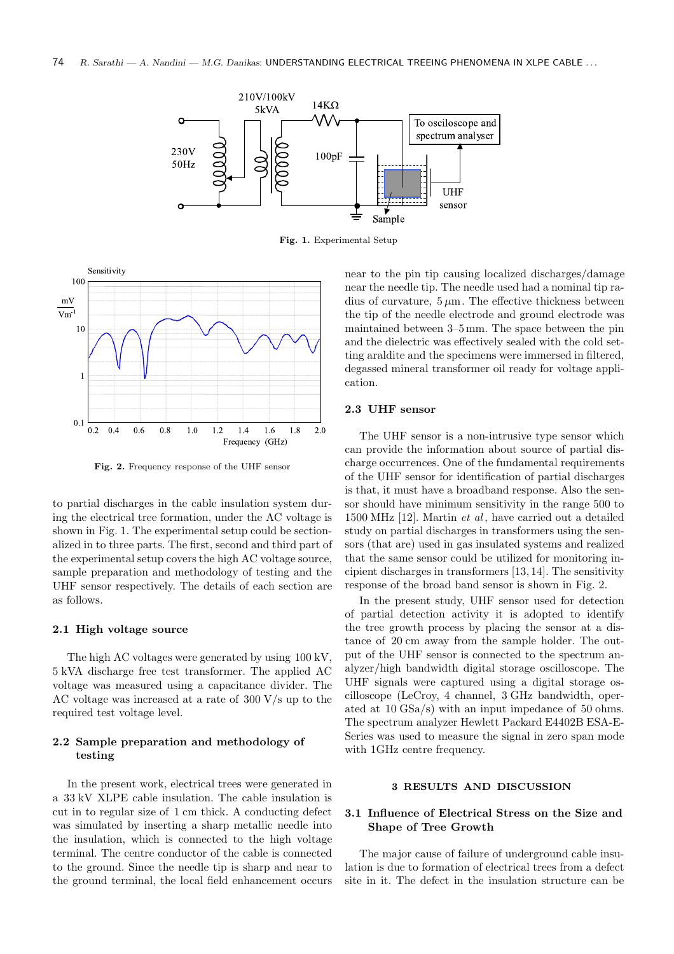

Fig. 1. Experimental Setup



Fig. 2. Frequency response of the UHF sensor

to partial discharges in the cable insulation system during the electrical tree formation, under the AC voltage is shown in Fig. 1. The experimental setup could be sectionalized in to three parts. The first, second and third part of the experimental setup covers the high AC voltage source, sample preparation and methodology of testing and the UHF sensor respectively. The details of each section are as follows.

#### 2.1 High voltage source

The high AC voltages were generated by using 100 kV, 5 kVA discharge free test transformer. The applied AC voltage was measured using a capacitance divider. The AC voltage was increased at a rate of 300 V/s up to the required test voltage level.

## 2.2 Sample preparation and methodology of testing

In the present work, electrical trees were generated in a 33 kV XLPE cable insulation. The cable insulation is cut in to regular size of 1 cm thick. A conducting defect was simulated by inserting a sharp metallic needle into the insulation, which is connected to the high voltage terminal. The centre conductor of the cable is connected to the ground. Since the needle tip is sharp and near to the ground terminal, the local field enhancement occurs near to the pin tip causing localized discharges/damage near the needle tip. The needle used had a nominal tip radius of curvature,  $5 \mu m$ . The effective thickness between the tip of the needle electrode and ground electrode was maintained between 3–5 mm. The space between the pin and the dielectric was effectively sealed with the cold setting araldite and the specimens were immersed in filtered, degassed mineral transformer oil ready for voltage application.

#### 2.3 UHF sensor

The UHF sensor is a non-intrusive type sensor which can provide the information about source of partial discharge occurrences. One of the fundamental requirements of the UHF sensor for identification of partial discharges is that, it must have a broadband response. Also the sensor should have minimum sensitivity in the range 500 to 1500 MHz [12]. Martin et al , have carried out a detailed study on partial discharges in transformers using the sensors (that are) used in gas insulated systems and realized that the same sensor could be utilized for monitoring incipient discharges in transformers [13, 14]. The sensitivity response of the broad band sensor is shown in Fig. 2.

In the present study, UHF sensor used for detection of partial detection activity it is adopted to identify the tree growth process by placing the sensor at a distance of 20 cm away from the sample holder. The output of the UHF sensor is connected to the spectrum analyzer/high bandwidth digital storage oscilloscope. The UHF signals were captured using a digital storage oscilloscope (LeCroy, 4 channel, 3 GHz bandwidth, operated at 10 GSa/s) with an input impedance of 50 ohms. The spectrum analyzer Hewlett Packard E4402B ESA-E-Series was used to measure the signal in zero span mode with 1GHz centre frequency.

## 3 RESULTS AND DISCUSSION

## 3.1 Influence of Electrical Stress on the Size and Shape of Tree Growth

The major cause of failure of underground cable insulation is due to formation of electrical trees from a defect site in it. The defect in the insulation structure can be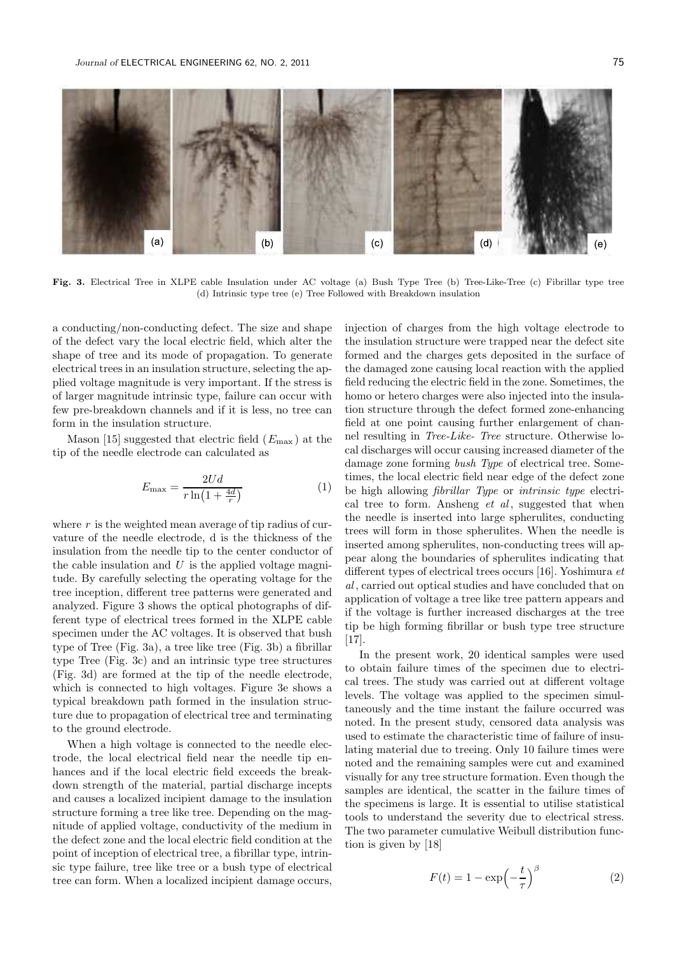

Fig. 3. Electrical Tree in XLPE cable Insulation under AC voltage (a) Bush Type Tree (b) Tree-Like-Tree (c) Fibrillar type tree (d) Intrinsic type tree (e) Tree Followed with Breakdown insulation

a conducting/non-conducting defect. The size and shape of the defect vary the local electric field, which alter the shape of tree and its mode of propagation. To generate electrical trees in an insulation structure, selecting the applied voltage magnitude is very important. If the stress is of larger magnitude intrinsic type, failure can occur with few pre-breakdown channels and if it is less, no tree can form in the insulation structure.

Mason [15] suggested that electric field  $(E_{\text{max}})$  at the tip of the needle electrode can calculated as

$$
E_{\text{max}} = \frac{2Ud}{r\ln\left(1 + \frac{4d}{r}\right)}\tag{1}
$$

where  $r$  is the weighted mean average of tip radius of curvature of the needle electrode, d is the thickness of the insulation from the needle tip to the center conductor of the cable insulation and  $U$  is the applied voltage magnitude. By carefully selecting the operating voltage for the tree inception, different tree patterns were generated and analyzed. Figure 3 shows the optical photographs of different type of electrical trees formed in the XLPE cable specimen under the AC voltages. It is observed that bush type of Tree (Fig. 3a), a tree like tree (Fig. 3b) a fibrillar type Tree (Fig. 3c) and an intrinsic type tree structures (Fig. 3d) are formed at the tip of the needle electrode, which is connected to high voltages. Figure 3e shows a typical breakdown path formed in the insulation structure due to propagation of electrical tree and terminating to the ground electrode.

When a high voltage is connected to the needle electrode, the local electrical field near the needle tip enhances and if the local electric field exceeds the breakdown strength of the material, partial discharge incepts and causes a localized incipient damage to the insulation structure forming a tree like tree. Depending on the magnitude of applied voltage, conductivity of the medium in the defect zone and the local electric field condition at the point of inception of electrical tree, a fibrillar type, intrinsic type failure, tree like tree or a bush type of electrical tree can form. When a localized incipient damage occurs, injection of charges from the high voltage electrode to the insulation structure were trapped near the defect site formed and the charges gets deposited in the surface of the damaged zone causing local reaction with the applied field reducing the electric field in the zone. Sometimes, the homo or hetero charges were also injected into the insulation structure through the defect formed zone-enhancing field at one point causing further enlargement of channel resulting in Tree-Like- Tree structure. Otherwise local discharges will occur causing increased diameter of the damage zone forming bush Type of electrical tree. Sometimes, the local electric field near edge of the defect zone be high allowing fibrillar Type or intrinsic type electrical tree to form. Ansheng  $et \ al$ , suggested that when the needle is inserted into large spherulites, conducting trees will form in those spherulites. When the needle is inserted among spherulites, non-conducting trees will appear along the boundaries of spherulites indicating that different types of electrical trees occurs [16]. Yoshimura et al, carried out optical studies and have concluded that on application of voltage a tree like tree pattern appears and if the voltage is further increased discharges at the tree tip be high forming fibrillar or bush type tree structure [17].

In the present work, 20 identical samples were used to obtain failure times of the specimen due to electrical trees. The study was carried out at different voltage levels. The voltage was applied to the specimen simultaneously and the time instant the failure occurred was noted. In the present study, censored data analysis was used to estimate the characteristic time of failure of insulating material due to treeing. Only 10 failure times were noted and the remaining samples were cut and examined visually for any tree structure formation. Even though the samples are identical, the scatter in the failure times of the specimens is large. It is essential to utilise statistical tools to understand the severity due to electrical stress. The two parameter cumulative Weibull distribution function is given by [18]

$$
F(t) = 1 - \exp\left(-\frac{t}{\tau}\right)^{\beta} \tag{2}
$$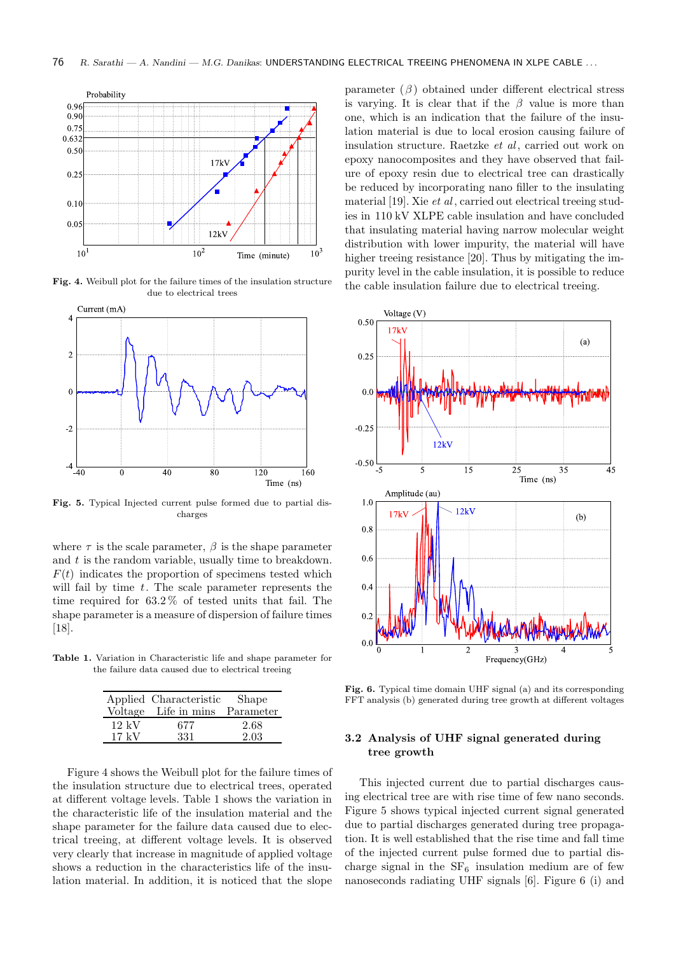

Fig. 4. Weibull plot for the failure times of the insulation structure due to electrical trees



Fig. 5. Typical Injected current pulse formed due to partial discharges

where  $\tau$  is the scale parameter,  $\beta$  is the shape parameter and  $t$  is the random variable, usually time to breakdown.  $F(t)$  indicates the proportion of specimens tested which will fail by time  $t$ . The scale parameter represents the time required for 63.2 % of tested units that fail. The shape parameter is a measure of dispersion of failure times [18].

Table 1. Variation in Characteristic life and shape parameter for the failure data caused due to electrical treeing

|                 | Applied Characteristic<br>Voltage Life in mins Parameter | Shape |
|-----------------|----------------------------------------------------------|-------|
| $12 \;{\rm kV}$ | 677                                                      | 2.68  |
| $17~{\rm kV}$   | 331                                                      | 2.03  |

Figure 4 shows the Weibull plot for the failure times of the insulation structure due to electrical trees, operated at different voltage levels. Table 1 shows the variation in the characteristic life of the insulation material and the shape parameter for the failure data caused due to electrical treeing, at different voltage levels. It is observed very clearly that increase in magnitude of applied voltage shows a reduction in the characteristics life of the insulation material. In addition, it is noticed that the slope

parameter  $(\beta)$  obtained under different electrical stress is varying. It is clear that if the  $\beta$  value is more than one, which is an indication that the failure of the insulation material is due to local erosion causing failure of insulation structure. Raetzke et al, carried out work on epoxy nanocomposites and they have observed that failure of epoxy resin due to electrical tree can drastically be reduced by incorporating nano filler to the insulating material  $[19]$ . Xie et al, carried out electrical treeing studies in 110 kV XLPE cable insulation and have concluded that insulating material having narrow molecular weight distribution with lower impurity, the material will have higher treeing resistance [20]. Thus by mitigating the impurity level in the cable insulation, it is possible to reduce the cable insulation failure due to electrical treeing.



Fig. 6. Typical time domain UHF signal (a) and its corresponding FFT analysis (b) generated during tree growth at different voltages

## 3.2 Analysis of UHF signal generated during tree growth

This injected current due to partial discharges causing electrical tree are with rise time of few nano seconds. Figure 5 shows typical injected current signal generated due to partial discharges generated during tree propagation. It is well established that the rise time and fall time of the injected current pulse formed due to partial discharge signal in the  $SF_6$  insulation medium are of few nanoseconds radiating UHF signals [6]. Figure 6 (i) and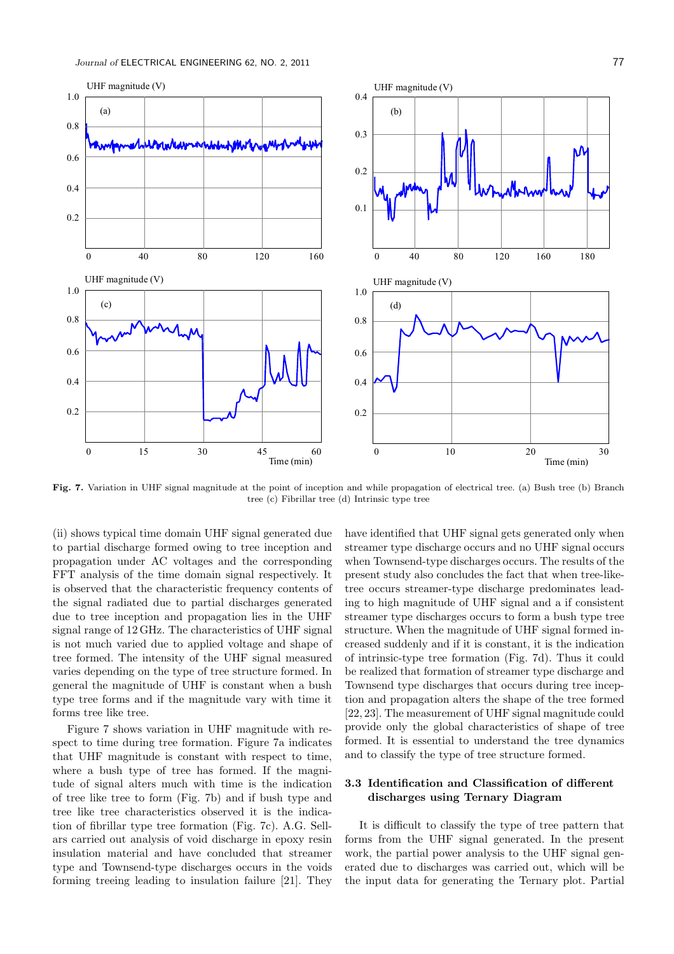

Fig. 7. Variation in UHF signal magnitude at the point of inception and while propagation of electrical tree. (a) Bush tree (b) Branch tree (c) Fibrillar tree (d) Intrinsic type tree

(ii) shows typical time domain UHF signal generated due to partial discharge formed owing to tree inception and propagation under AC voltages and the corresponding FFT analysis of the time domain signal respectively. It is observed that the characteristic frequency contents of the signal radiated due to partial discharges generated due to tree inception and propagation lies in the UHF signal range of 12 GHz. The characteristics of UHF signal is not much varied due to applied voltage and shape of tree formed. The intensity of the UHF signal measured varies depending on the type of tree structure formed. In general the magnitude of UHF is constant when a bush type tree forms and if the magnitude vary with time it forms tree like tree.

Figure 7 shows variation in UHF magnitude with respect to time during tree formation. Figure 7a indicates that UHF magnitude is constant with respect to time, where a bush type of tree has formed. If the magnitude of signal alters much with time is the indication of tree like tree to form (Fig. 7b) and if bush type and tree like tree characteristics observed it is the indication of fibrillar type tree formation (Fig. 7c). A.G. Sellars carried out analysis of void discharge in epoxy resin insulation material and have concluded that streamer type and Townsend-type discharges occurs in the voids forming treeing leading to insulation failure [21]. They have identified that UHF signal gets generated only when streamer type discharge occurs and no UHF signal occurs when Townsend-type discharges occurs. The results of the present study also concludes the fact that when tree-liketree occurs streamer-type discharge predominates leading to high magnitude of UHF signal and a if consistent streamer type discharges occurs to form a bush type tree structure. When the magnitude of UHF signal formed increased suddenly and if it is constant, it is the indication of intrinsic-type tree formation (Fig. 7d). Thus it could be realized that formation of streamer type discharge and Townsend type discharges that occurs during tree inception and propagation alters the shape of the tree formed [22, 23]. The measurement of UHF signal magnitude could provide only the global characteristics of shape of tree formed. It is essential to understand the tree dynamics and to classify the type of tree structure formed.

## 3.3 Identification and Classification of different discharges using Ternary Diagram

It is difficult to classify the type of tree pattern that forms from the UHF signal generated. In the present work, the partial power analysis to the UHF signal generated due to discharges was carried out, which will be the input data for generating the Ternary plot. Partial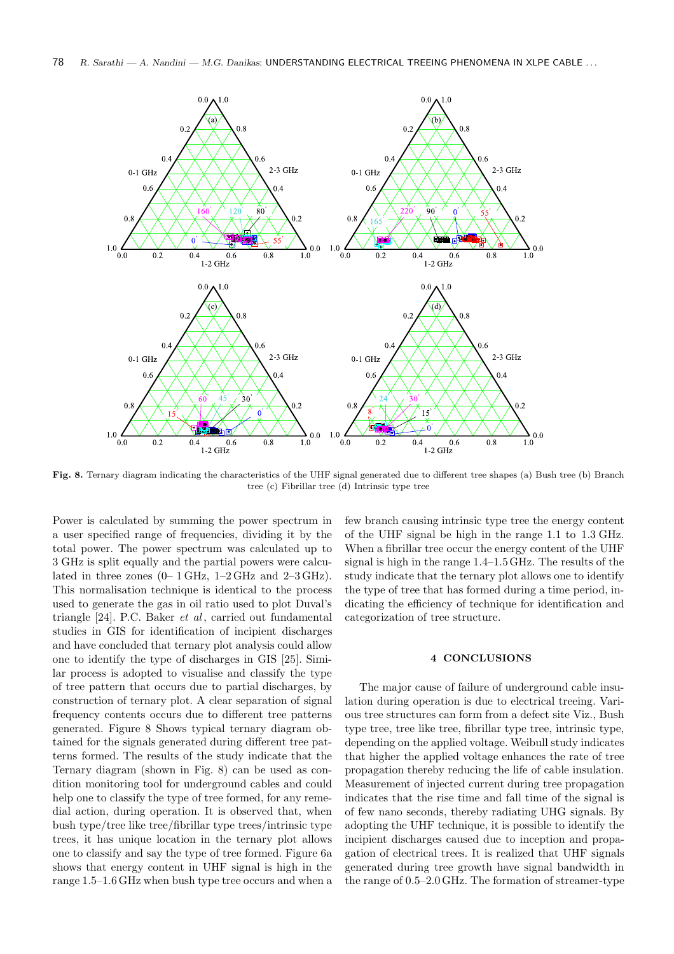

Fig. 8. Ternary diagram indicating the characteristics of the UHF signal generated due to different tree shapes (a) Bush tree (b) Branch tree (c) Fibrillar tree (d) Intrinsic type tree

Power is calculated by summing the power spectrum in a user specified range of frequencies, dividing it by the total power. The power spectrum was calculated up to 3 GHz is split equally and the partial powers were calculated in three zones  $(0-1 \text{ GHz}, 1-2 \text{ GHz}$  and  $2-3 \text{ GHz})$ . This normalisation technique is identical to the process used to generate the gas in oil ratio used to plot Duval's triangle [24]. P.C. Baker *et al*, carried out fundamental studies in GIS for identification of incipient discharges and have concluded that ternary plot analysis could allow one to identify the type of discharges in GIS [25]. Similar process is adopted to visualise and classify the type of tree pattern that occurs due to partial discharges, by construction of ternary plot. A clear separation of signal frequency contents occurs due to different tree patterns generated. Figure 8 Shows typical ternary diagram obtained for the signals generated during different tree patterns formed. The results of the study indicate that the Ternary diagram (shown in Fig. 8) can be used as condition monitoring tool for underground cables and could help one to classify the type of tree formed, for any remedial action, during operation. It is observed that, when bush type/tree like tree/fibrillar type trees/intrinsic type trees, it has unique location in the ternary plot allows one to classify and say the type of tree formed. Figure 6a shows that energy content in UHF signal is high in the range 1.5–1.6 GHz when bush type tree occurs and when a few branch causing intrinsic type tree the energy content of the UHF signal be high in the range 1.1 to 1.3 GHz. When a fibrillar tree occur the energy content of the UHF signal is high in the range 1.4–1.5 GHz. The results of the study indicate that the ternary plot allows one to identify the type of tree that has formed during a time period, indicating the efficiency of technique for identification and categorization of tree structure.

## 4 CONCLUSIONS

The major cause of failure of underground cable insulation during operation is due to electrical treeing. Various tree structures can form from a defect site Viz., Bush type tree, tree like tree, fibrillar type tree, intrinsic type, depending on the applied voltage. Weibull study indicates that higher the applied voltage enhances the rate of tree propagation thereby reducing the life of cable insulation. Measurement of injected current during tree propagation indicates that the rise time and fall time of the signal is of few nano seconds, thereby radiating UHG signals. By adopting the UHF technique, it is possible to identify the incipient discharges caused due to inception and propagation of electrical trees. It is realized that UHF signals generated during tree growth have signal bandwidth in the range of 0.5–2.0 GHz. The formation of streamer-type